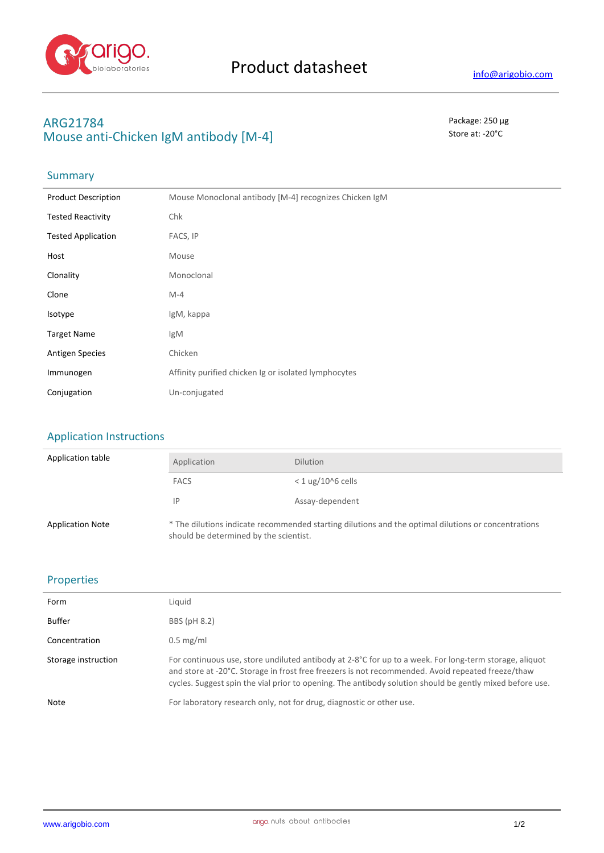

# **ARG21784** Package: 250 μg **Mouse anti-Chicken IgM antibody [M-4]** Store at: -20°C

### **Summary**

| <b>Product Description</b> | Mouse Monoclonal antibody [M-4] recognizes Chicken IgM |  |
|----------------------------|--------------------------------------------------------|--|
| <b>Tested Reactivity</b>   | Chk                                                    |  |
| <b>Tested Application</b>  | FACS, IP                                               |  |
| Host                       | Mouse                                                  |  |
| Clonality                  | Monoclonal                                             |  |
| Clone                      | $M-4$                                                  |  |
| Isotype                    | IgM, kappa                                             |  |
| <b>Target Name</b>         | IgM                                                    |  |
| <b>Antigen Species</b>     | Chicken                                                |  |
| Immunogen                  | Affinity purified chicken Ig or isolated lymphocytes   |  |
| Conjugation                | Un-conjugated                                          |  |

## Application Instructions

| Application table       | Application                                                                                                                                   | <b>Dilution</b>     |
|-------------------------|-----------------------------------------------------------------------------------------------------------------------------------------------|---------------------|
|                         | <b>FACS</b>                                                                                                                                   | $<$ 1 ug/10^6 cells |
|                         | IP                                                                                                                                            | Assay-dependent     |
| <b>Application Note</b> | * The dilutions indicate recommended starting dilutions and the optimal dilutions or concentrations<br>should be determined by the scientist. |                     |

### Properties

| Form                | Liquid                                                                                                                                                                                                                                                                                                                  |
|---------------------|-------------------------------------------------------------------------------------------------------------------------------------------------------------------------------------------------------------------------------------------------------------------------------------------------------------------------|
| Buffer              | BBS (pH 8.2)                                                                                                                                                                                                                                                                                                            |
| Concentration       | $0.5 \text{ mg/ml}$                                                                                                                                                                                                                                                                                                     |
| Storage instruction | For continuous use, store undiluted antibody at 2-8°C for up to a week. For long-term storage, aliquot<br>and store at -20°C. Storage in frost free freezers is not recommended. Avoid repeated freeze/thaw<br>cycles. Suggest spin the vial prior to opening. The antibody solution should be gently mixed before use. |
| Note                | For laboratory research only, not for drug, diagnostic or other use.                                                                                                                                                                                                                                                    |